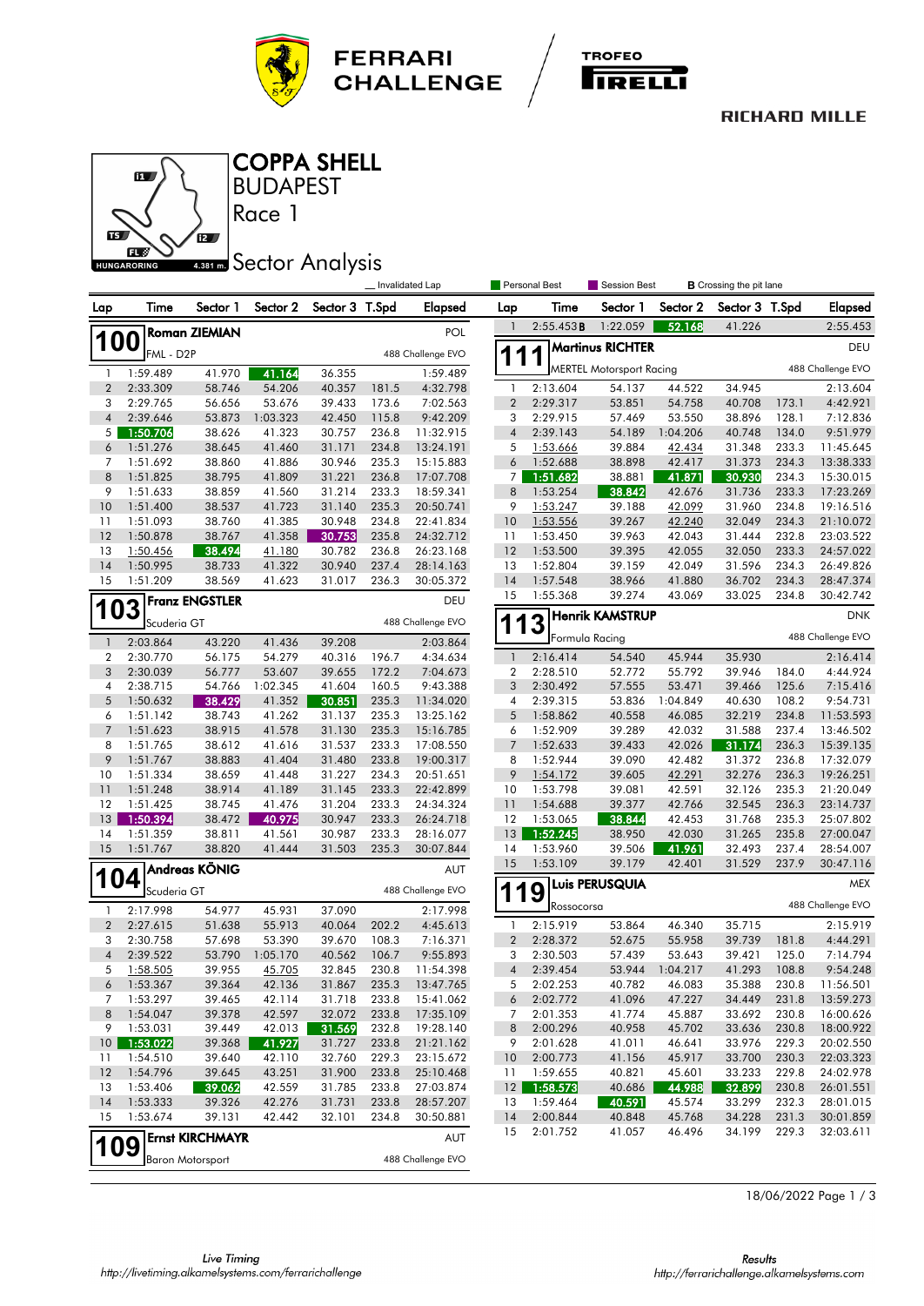



#### **RICHARD MILLE**



### **BUDAPEST** COPPA SHELL

Race 1

# **4.381 mm** Sector Analysis

|                                              |                      |                         |                  |                  |                | Invalidated Lap        |                         | Personal Best<br>Session Best<br><b>B</b> Crossing the pit lane |                                 |                  |                  |                |                        |
|----------------------------------------------|----------------------|-------------------------|------------------|------------------|----------------|------------------------|-------------------------|-----------------------------------------------------------------|---------------------------------|------------------|------------------|----------------|------------------------|
| Lap                                          | Time                 | Sector 1                | Sector 2         | Sector 3 T.Spd   |                | <b>Elapsed</b>         | Lap                     | Time                                                            | Sector 1                        | Sector 2         | Sector 3 T.Spd   |                | <b>Elapsed</b>         |
|                                              |                      | <b>Roman ZIEMIAN</b>    |                  |                  |                | POL                    | 1                       | 2:55.453B                                                       | 1:22.059                        | 52.168           | 41.226           |                | 2:55.453               |
| <b>100</b><br>FML - D2P<br>488 Challenge EVO |                      |                         |                  |                  |                |                        | 1                       |                                                                 | <b>Martinus RICHTER</b>         | DEU              |                  |                |                        |
| 1                                            | 1:59.489             | 41.970                  | 41.164           | 36.355           |                | 1:59.489               |                         |                                                                 | <b>MERTEL Motorsport Racing</b> |                  |                  |                | 488 Challenge EVO      |
| $\overline{2}$                               | 2:33.309             | 58.746                  | 54.206           | 40.357           | 181.5          | 4:32.798               | 1                       | 2:13.604                                                        | 54.137                          | 44.522           | 34.945           |                | 2:13.604               |
| 3                                            | 2:29.765             | 56.656                  | 53.676           | 39.433           | 173.6          | 7:02.563               | $\overline{\mathbf{c}}$ | 2:29.317                                                        | 53.851                          | 54.758           | 40.708           | 173.1          | 4:42.921               |
| $\overline{\mathcal{A}}$                     | 2:39.646             | 53.873                  | 1:03.323         | 42.450           | 115.8          | 9:42.209               | 3                       | 2:29.915                                                        | 57.469                          | 53.550           | 38.896           | 128.1          | 7:12.836               |
| 5                                            | 1:50.706             | 38.626                  | 41.323           | 30.757           | 236.8          | 11:32.915              | $\sqrt{4}$              | 2:39.143                                                        | 54.189                          | 1:04.206         | 40.748           | 134.0          | 9:51.979               |
| 6                                            | 1:51.276             | 38.645                  | 41.460           | 31.171           | 234.8          | 13:24.191              | 5                       | 1:53.666                                                        | 39.884                          | 42.434           | 31.348           | 233.3          | 11:45.645              |
| 7                                            | 1:51.692             | 38.860                  | 41.886           | 30.946           | 235.3          | 15:15.883              | 6                       | 1:52.688                                                        | 38.898                          | 42.417           | 31.373           | 234.3          | 13:38.333              |
| 8                                            | 1:51.825             | 38.795                  | 41.809           | 31.221           | 236.8          | 17:07.708              | 7                       | 1:51.682                                                        | 38.881                          | 41.871           | 30.930           | 234.3          | 15:30.015              |
| 9                                            | 1:51.633             | 38.859                  | 41.560           | 31.214           | 233.3          | 18:59.341              | 8                       | 1:53.254                                                        | 38.842                          | 42.676           | 31.736           | 233.3          | 17:23.269              |
| 10<br>11                                     | 1:51.400<br>1:51.093 | 38.537<br>38.760        | 41.723<br>41.385 | 31.140<br>30.948 | 235.3<br>234.8 | 20:50.741<br>22:41.834 | 9<br>10                 | 1:53.247<br>1:53.556                                            | 39.188<br>39.267                | 42.099<br>42.240 | 31.960<br>32.049 | 234.8<br>234.3 | 19:16.516<br>21:10.072 |
| 12                                           | 1:50.878             | 38.767                  | 41.358           | 30.753           | 235.8          | 24:32.712              | 11                      | 1:53.450                                                        | 39.963                          | 42.043           | 31.444           | 232.8          | 23:03.522              |
| 13                                           | 1:50.456             | 38.494                  | 41.180           | 30.782           | 236.8          | 26:23.168              | 12                      | 1:53.500                                                        | 39.395                          | 42.055           | 32.050           | 233.3          | 24:57.022              |
| 14                                           | 1:50.995             | 38.733                  | 41.322           | 30.940           | 237.4          | 28:14.163              | 13                      | 1:52.804                                                        | 39.159                          | 42.049           | 31.596           | 234.3          | 26:49.826              |
| 15                                           | 1:51.209             | 38.569                  | 41.623           | 31.017           | 236.3          | 30:05.372              | 14                      | 1:57.548                                                        | 38.966                          | 41.880           | 36.702           | 234.3          | 28:47.374              |
|                                              |                      | Franz ENGSTLER          |                  |                  |                | DEU                    | 15                      | 1:55.368                                                        | 39.274                          | 43.069           | 33.025           | 234.8          | 30:42.742              |
| 103                                          | Scuderia GT          |                         |                  |                  |                | 488 Challenge EVO      |                         | 13                                                              | <b>Henrik KAMSTRUP</b>          |                  |                  |                | <b>DNK</b>             |
| $\mathbf{1}$                                 | 2:03.864             | 43.220                  | 41.436           | 39.208           |                | 2:03.864               |                         |                                                                 | Formula Racing                  |                  |                  |                | 488 Challenge EVO      |
| 2                                            | 2:30.770             | 56.175                  | 54.279           | 40.316           | 196.7          | 4:34.634               | $\overline{1}$          | 2:16.414                                                        | 54.540                          | 45.944           | 35.930           |                | 2:16.414               |
| 3                                            | 2:30.039             | 56.777                  | 53.607           | 39.655           | 172.2          | 7:04.673               | 2                       | 2:28.510                                                        | 52.772                          | 55.792           | 39.946           | 184.0          | 4:44.924               |
| 4                                            | 2:38.715             | 54.766                  | 1:02.345         | 41.604           | 160.5          | 9:43.388               | 3                       | 2:30.492                                                        | 57.555                          | 53.471           | 39.466           | 125.6          | 7:15.416               |
| 5                                            | 1:50.632             | 38.429                  | 41.352           | 30.851           | 235.3          | 11:34.020              | 4                       | 2:39.315                                                        | 53.836                          | 1:04.849         | 40.630           | 108.2          | 9:54.731               |
| 6                                            | 1:51.142             | 38.743                  | 41.262           | 31.137           | 235.3          | 13:25.162              | 5                       | 1:58.862                                                        | 40.558                          | 46.085           | 32.219           | 234.8          | 11:53.593              |
| $\overline{7}$                               | 1:51.623             | 38.915                  | 41.578           | 31.130           | 235.3          | 15:16.785              | 6                       | 1:52.909                                                        | 39.289                          | 42.032           | 31.588           | 237.4          | 13:46.502              |
| 8                                            | 1:51.765             | 38.612                  | 41.616           | 31.537           | 233.3          | 17:08.550              | 7                       | 1:52.633                                                        | 39.433                          | 42.026           | 31.174           | 236.3          | 15:39.135              |
| 9                                            | 1:51.767             | 38.883                  | 41.404           | 31.480           | 233.8          | 19:00.317              | 8                       | 1:52.944                                                        | 39.090                          | 42.482           | 31.372           | 236.8          | 17:32.079              |
| 10                                           | 1:51.334             | 38.659                  | 41.448           | 31.227           | 234.3          | 20:51.651              | 9                       | 1:54.172                                                        | 39.605                          | 42.291           | 32.276           | 236.3          | 19:26.251              |
| 11<br>12                                     | 1:51.248<br>1:51.425 | 38.914<br>38.745        | 41.189<br>41.476 | 31.145<br>31.204 | 233.3<br>233.3 | 22:42.899<br>24:34.324 | 10<br>11                | 1:53.798<br>1:54.688                                            | 39.081<br>39.377                | 42.591<br>42.766 | 32.126<br>32.545 | 235.3<br>236.3 | 21:20.049<br>23:14.737 |
| 13                                           | 1:50.394             | 38.472                  | 40.975           | 30.947           | 233.3          | 26:24.718              | 12                      | 1:53.065                                                        | 38.844                          | 42.453           | 31.768           | 235.3          | 25:07.802              |
| 14                                           | 1:51.359             | 38.811                  | 41.561           | 30.987           | 233.3          | 28:16.077              | 13                      | 1:52.245                                                        | 38.950                          | 42.030           | 31.265           | 235.8          | 27:00.047              |
| 15                                           | 1:51.767             | 38.820                  | 41.444           | 31.503           | 235.3          | 30:07.844              | 14                      | 1:53.960                                                        | 39.506                          | 41.961           | 32.493           | 237.4          | 28:54.007              |
|                                              |                      | Andreas KÖNIG           |                  |                  |                | AUT                    | 15                      | 1:53.109                                                        | 39.179                          | 42.401           | 31.529           | 237.9          | 30:47.116              |
| 104                                          | Scuderia GT          |                         |                  |                  |                | 488 Challenge EVO      |                         |                                                                 | <b>Luis PERUSQUIA</b>           |                  |                  |                | MEX                    |
| $\mathbf{1}$                                 | 2:17.998             | 54.977                  | 45.931           | 37.090           |                | 2:17.998               | 1<br>1                  | 9<br>Rossocorsa                                                 |                                 |                  |                  |                | 488 Challenge EVO      |
| $\overline{2}$                               | 2:27.615             | 51.638                  | 55.913           | 40.064           | 202.2          | 4:45.613               | $\mathbf{1}$            | 2:15.919                                                        | 53.864                          | 46.340           | 35.715           |                | 2:15.919               |
| 3                                            | 2:30.758             | 57.698                  | 53.390           | 39.670           | 108.3          | 7:16.371               | $\boldsymbol{2}$        | 2:28.372                                                        | 52.675                          | 55.958           | 39.739           | 181.8          | 4:44.291               |
| $\overline{4}$                               | 2:39.522             | 53.790                  | 1:05.170         | 40.562           | 106.7          | 9:55.893               | 3                       | 2:30.503                                                        | 57.439                          | 53.643           | 39.421           | 125.0          | 7:14.794               |
| 5                                            | 1:58.505             | 39.955                  | 45.705           | 32.845           | 230.8          | 11:54.398              | 4                       | 2:39.454                                                        | 53.944                          | 1:04.217         | 41.293           | 108.8          | 9:54.248               |
| 6                                            | 1:53.367             | 39.364                  | 42.136           | 31.867           | 235.3          | 13:47.765              | 5                       | 2:02.253                                                        | 40.782                          | 46.083           | 35.388           | 230.8          | 11:56.501              |
| 7                                            | 1:53.297             | 39.465                  | 42.114           | 31.718           | 233.8          | 15:41.062              | 6                       | 2:02.772                                                        | 41.096                          | 47.227           | 34.449           | 231.8          | 13:59.273              |
| 8                                            | 1:54.047             | 39.378                  | 42.597           | 32.072           | 233.8          | 17:35.109              | 7                       | 2:01.353                                                        | 41.774                          | 45.887           | 33.692           | 230.8          | 16:00.626              |
| 9                                            | 1:53.031             | 39.449                  | 42.013           | 31.569           | 232.8          | 19:28.140              | 8                       | 2:00.296                                                        | 40.958                          | 45.702           | 33.636           | 230.8          | 18:00.922              |
| 10                                           | 1:53.022             | 39.368                  | 41.927           | 31.727           | 233.8          | 21:21.162              | 9                       | 2:01.628                                                        | 41.011                          | 46.641           | 33.976           | 229.3          | 20:02.550              |
| 11                                           | 1:54.510             | 39.640                  | 42.110           | 32.760           | 229.3          | 23:15.672              | 10                      | 2:00.773                                                        | 41.156                          | 45.917           | 33.700           | 230.3          | 22:03.323              |
| 12                                           | 1:54.796             | 39.645                  | 43.251           | 31.900           | 233.8          | 25:10.468              | 11                      | 1:59.655<br>1:58.573                                            | 40.821                          | 45.601<br>44.988 | 33.233           | 229.8          | 24:02.978              |
| 13<br>14                                     | 1:53.406<br>1:53.333 | 39.062<br>39.326        | 42.559<br>42.276 | 31.785<br>31.731 | 233.8<br>233.8 | 27:03.874<br>28:57.207 | 12<br>13                | 1:59.464                                                        | 40.686<br>40.591                | 45.574           | 32.899<br>33.299 | 230.8<br>232.3 | 26:01.551<br>28:01.015 |
| 15                                           | 1:53.674             | 39.131                  | 42.442           | 32.101           | 234.8          | 30:50.881              | 14                      | 2:00.844                                                        | 40.848                          | 45.768           | 34.228           | 231.3          | 30:01.859              |
|                                              |                      |                         |                  |                  |                |                        | 15                      | 2:01.752                                                        | 41.057                          | 46.496           | 34.199           | 229.3          | 32:03.611              |
| 109                                          |                      | <b>Ernst KIRCHMAYR</b>  |                  |                  |                | AUT                    |                         |                                                                 |                                 |                  |                  |                |                        |
|                                              |                      | <b>Baron Motorsport</b> |                  |                  |                | 488 Challenge EVO      |                         |                                                                 |                                 |                  |                  |                |                        |

18/06/2022 Page 1 / 3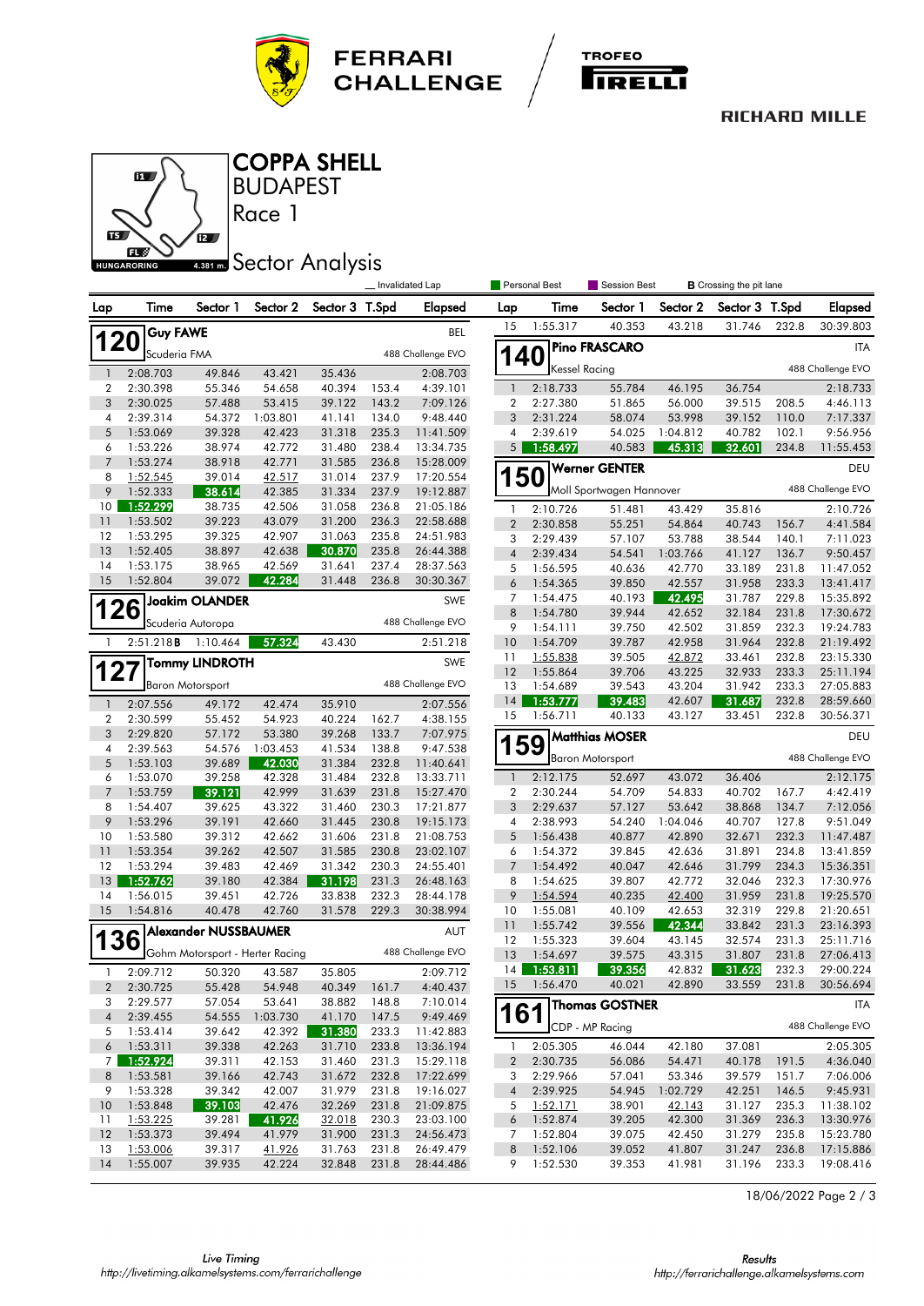



### **RICHARD MILLE**



Race 1 **BUDAPEST** COPPA SHELL

# **4.381 mm** Sector Analysis

|                     |                      |                                 |                  |                  |                | Invalidated Lap        |                  | <b>Personal Best</b> | <b>Session Best</b>      |                  | <b>B</b> Crossing the pit lane |                |                        |
|---------------------|----------------------|---------------------------------|------------------|------------------|----------------|------------------------|------------------|----------------------|--------------------------|------------------|--------------------------------|----------------|------------------------|
| Lap                 | Time                 | Sector 1                        | Sector 2         | Sector 3 T.Spd   |                | <b>Elapsed</b>         | Lap              | Time                 | Sector 1                 | Sector 2         | Sector 3                       | T.Spd          | <b>Elapsed</b>         |
|                     | <b>Guy FAWE</b>      |                                 |                  |                  |                | <b>BEL</b>             | 15               | 1:55.317             | 40.353                   | 43.218           | 31.746                         | 232.8          | 30:39.803              |
| <b>120</b>          | Scuderia FMA         |                                 |                  |                  |                | 488 Challenge EVO      |                  |                      | <b>Pino FRASCARO</b>     |                  |                                |                | ITA                    |
| $\mathbf{1}$        | 2:08.703             | 49.846                          | 43.421           | 35.436           |                | 2:08.703               | <b>140</b>       | <b>Kessel Racing</b> |                          |                  |                                |                | 488 Challenge EVO      |
| 2                   | 2:30.398             | 55.346                          | 54.658           | 40.394           | 153.4          | 4:39.101               | $\overline{1}$   | 2:18.733             | 55.784                   | 46.195           | 36.754                         |                | 2:18.733               |
| 3                   | 2:30.025             | 57.488                          | 53.415           | 39.122           | 143.2          | 7:09.126               | $\boldsymbol{2}$ | 2:27.380             | 51.865                   | 56.000           | 39.515                         | 208.5          | 4:46.113               |
| 4                   | 2:39.314             | 54.372                          | 1:03.801         | 41.141           | 134.0          | 9:48.440               | $\mathfrak{Z}$   | 2:31.224             | 58.074                   | 53.998           | 39.152                         | 110.0          | 7:17.337               |
| 5                   | 1:53.069             | 39.328                          | 42.423           | 31.318           | 235.3          | 11:41.509              | 4                | 2:39.619             | 54.025                   | 1:04.812         | 40.782                         | 102.1          | 9:56.956               |
| 6                   | 1:53.226             | 38.974                          | 42.772           | 31.480           | 238.4          | 13:34.735              | 5                | 1:58.497             | 40.583                   | 45.313           | 32.601                         | 234.8          | 11:55.453              |
| $\overline{7}$<br>8 | 1:53.274<br>1:52.545 | 38.918<br>39.014                | 42.771<br>42.517 | 31.585<br>31.014 | 236.8<br>237.9 | 15:28.009<br>17:20.554 |                  |                      | <b>Werner GENTER</b>     |                  |                                |                | DEU                    |
| 9                   | 1:52.333             | 38.614                          | 42.385           | 31.334           | 237.9          | 19:12.887              |                  | <b>150</b>           | Moll Sportwagen Hannover |                  |                                |                | 488 Challenge EVO      |
| 10                  | 1:52.299             | 38.735                          | 42.506           | 31.058           | 236.8          | 21:05.186              | $\mathbf{1}$     | 2:10.726             | 51.481                   | 43.429           | 35.816                         |                | 2:10.726               |
| 11                  | 1:53.502             | 39.223                          | 43.079           | 31.200           | 236.3          | 22:58.688              | $\overline{2}$   | 2:30.858             | 55.251                   | 54.864           | 40.743                         | 156.7          | 4:41.584               |
| 12                  | 1:53.295             | 39.325                          | 42.907           | 31.063           | 235.8          | 24:51.983              | 3                | 2:29.439             | 57.107                   | 53.788           | 38.544                         | 140.1          | 7:11.023               |
| 13                  | 1:52.405             | 38.897                          | 42.638           | 30.870           | 235.8          | 26:44.388              | $\overline{4}$   | 2:39.434             | 54.541                   | 1:03.766         | 41.127                         | 136.7          | 9:50.457               |
| 14                  | 1:53.175             | 38.965                          | 42.569           | 31.641           | 237.4          | 28:37.563              | 5                | 1:56.595             | 40.636                   | 42.770           | 33.189                         | 231.8          | 11:47.052              |
| 15                  | 1:52.804             | 39.072                          | 42.284           | 31.448           | 236.8          | 30:30.367              | 6                | 1:54.365             | 39.850                   | 42.557           | 31.958                         | 233.3          | 13:41.417              |
|                     |                      | Joakim OLANDER                  |                  |                  |                | SWE                    | 7                | 1:54.475             | 40.193                   | 42.495           | 31.787                         | 229.8          | 15:35.892              |
|                     | 26                   |                                 |                  |                  |                | 488 Challenge EVO      | 8                | 1:54.780             | 39.944                   | 42.652           | 32.184                         | 231.8          | 17:30.672              |
|                     |                      | Scuderia Autoropa               |                  |                  |                |                        | 9                | 1:54.111             | 39.750                   | 42.502           | 31.859                         | 232.3          | 19:24.783              |
| $\mathbf{1}$        | 2:51.218B            | 1:10.464                        | 57.324           | 43.430           |                | 2:51.218               | 10               | 1:54.709             | 39.787                   | 42.958           | 31.964                         | 232.8          | 21:19.492              |
|                     |                      | <b>Tommy LINDROTH</b>           |                  |                  |                | SWE                    | 11               | 1:55.838             | 39.505                   | 42.872           | 33.461                         | 232.8          | 23:15.330              |
| 127                 |                      |                                 |                  |                  |                | 488 Challenge EVO      | 12               | 1:55.864             | 39.706                   | 43.225           | 32.933                         | 233.3          | 25:11.194              |
|                     |                      | <b>Baron Motorsport</b>         |                  |                  |                |                        | 13               | 1:54.689             | 39.543                   | 43.204           | 31.942                         | 233.3          | 27:05.883              |
| $\mathbf{1}$        | 2:07.556             | 49.172                          | 42.474           | 35.910           |                | 2:07.556               | 14<br>15         | 1:53.777<br>1:56.711 | 39.483<br>40.133         | 42.607           | 31.687<br>33.451               | 232.8<br>232.8 | 28:59.660              |
| 2                   | 2:30.599             | 55.452                          | 54.923           | 40.224           | 162.7          | 4:38.155               |                  |                      |                          | 43.127           |                                |                | 30:56.371              |
| 3                   | 2:29.820             | 57.172                          | 53.380           | 39.268           | 133.7          | 7:07.975               |                  | 159                  | Matthias MOSER           |                  |                                |                | DEU                    |
| 4<br>5              | 2:39.563<br>1:53.103 | 54.576<br>39.689                | 1:03.453         | 41.534           | 138.8<br>232.8 | 9:47.538               |                  |                      | <b>Baron Motorsport</b>  |                  |                                |                | 488 Challenge EVO      |
| 6                   | 1:53.070             | 39.258                          | 42.030<br>42.328 | 31.384<br>31.484 | 232.8          | 11:40.641<br>13:33.711 | $\overline{1}$   | 2:12.175             | 52.697                   | 43.072           | 36.406                         |                | 2:12.175               |
| $\overline{7}$      | 1:53.759             | 39.121                          | 42.999           | 31.639           | 231.8          | 15:27.470              | $\boldsymbol{2}$ | 2:30.244             | 54.709                   | 54.833           | 40.702                         | 167.7          | 4:42.419               |
| 8                   | 1:54.407             | 39.625                          | 43.322           | 31.460           | 230.3          | 17:21.877              | 3                | 2:29.637             | 57.127                   | 53.642           | 38.868                         | 134.7          | 7:12.056               |
| 9                   | 1:53.296             | 39.191                          | 42.660           | 31.445           | 230.8          | 19:15.173              | $\overline{4}$   | 2:38.993             | 54.240                   | 1:04.046         | 40.707                         | 127.8          | 9:51.049               |
| 10                  | 1:53.580             | 39.312                          | 42.662           | 31.606           | 231.8          | 21:08.753              | 5                | 1:56.438             | 40.877                   | 42.890           | 32.671                         | 232.3          | 11:47.487              |
| 11                  | 1:53.354             | 39.262                          | 42.507           | 31.585           | 230.8          | 23:02.107              | 6                | 1:54.372             | 39.845                   | 42.636           | 31.891                         | 234.8          | 13:41.859              |
| 12                  | 1:53.294             | 39.483                          | 42.469           | 31.342           | 230.3          | 24:55.401              | $\overline{7}$   | 1:54.492             | 40.047                   | 42.646           | 31.799                         | 234.3          | 15:36.351              |
| 13                  | 1:52.762             | 39.180                          | 42.384           | 31.198           | 231.3          | 26:48.163              | 8                | 1:54.625             | 39.807                   | 42.772           | 32.046                         | 232.3          | 17:30.976              |
| 14                  | 1:56.015             | 39.451                          | 42.726           | 33.838           | 232.3          | 28:44.178              | 9                | 1:54.594             | 40.235                   | 42.400           | 31.959                         | 231.8          | 19:25.570              |
| 15                  | 1:54.816             | 40.478                          | 42.760           | 31.578           | 229.3          | 30:38.994              | 10               | 1:55.081             | 40.109                   | 42.653           | 32.319                         | 229.8          | 21:20.651              |
|                     |                      | <b>Alexander NUSSBAUMER</b>     |                  |                  |                | AUT                    | 11               | 1:55.742             | 39.556                   | 42.344           | 33.842                         | 231.3          | 23:16.393              |
| <b>136</b>          |                      |                                 |                  |                  |                |                        | 12               | 1:55.323             | 39.604                   | 43.145           | 32.574                         | 231.3          | 25:11.716              |
|                     |                      | Gohm Motorsport - Herter Racing |                  |                  |                | 488 Challenge EVO      | 13               | 1:54.697             | 39.575                   | 43.315           | 31.807                         | 231.8          | 27:06.413              |
| 1                   | 2:09.712             | 50.320                          | 43.587           | 35.805           |                | 2:09.712               | 14               | 1:53.811             | 39.356                   | 42.832           | 31.623                         | 232.3          | 29:00.224              |
| 2                   | 2:30.725             | 55.428                          | 54.948           | 40.349           | 161.7          | 4:40.437               | 15               | 1:56.470             | 40.021                   | 42.890           | 33.559                         | 231.8          | 30:56.694              |
| 3                   | 2:29.577             | 57.054                          | 53.641           | 38.882           | 148.8          | 7:10.014               |                  |                      | Thomas GOSTNER           |                  |                                |                | ITA                    |
| $\sqrt{4}$          | 2:39.455             | 54.555                          | 1:03.730         | 41.170           | 147.5          | 9:49.469               |                  | 161                  | CDP - MP Racing          |                  |                                |                | 488 Challenge EVO      |
| 5                   | 1:53.414             | 39.642                          | 42.392           | 31.380           | 233.3          | 11:42.883              |                  |                      |                          |                  |                                |                |                        |
| 6                   | 1:53.311             | 39.338                          | 42.263           | 31.710           | 233.8          | 13:36.194              | -1               | 2:05.305             | 46.044                   | 42.180           | 37.081                         |                | 2:05.305               |
| 7                   | 1:52.924             | 39.311                          | 42.153           | 31.460           | 231.3          | 15:29.118              | $\overline{2}$   | 2:30.735             | 56.086                   | 54.471           | 40.178                         | 191.5          | 4:36.040               |
| 8                   | 1:53.581             | 39.166                          | 42.743           | 31.672           | 232.8          | 17:22.699              | 3                | 2:29.966             | 57.041                   | 53.346           | 39.579                         | 151.7          | 7:06.006               |
| 9                   | 1:53.328             | 39.342                          | 42.007           | 31.979           | 231.8          | 19:16.027              | $\overline{4}$   | 2:39.925             | 54.945                   | 1:02.729         | 42.251                         | 146.5          | 9:45.931               |
| 10                  | 1:53.848             | 39.103                          | 42.476<br>41.926 | 32.269           | 231.8          | 21:09.875              | 5                | 1:52.171             | 38.901                   | 42.143           | 31.127<br>31.369               | 235.3          | 11:38.102              |
| 11<br>12            | 1:53.225<br>1:53.373 | 39.281<br>39.494                | 41.979           | 32.018<br>31.900 | 230.3<br>231.3 | 23:03.100<br>24:56.473 | 6                | 1:52.874<br>1:52.804 | 39.205<br>39.075         | 42.300<br>42.450 |                                | 236.3<br>235.8 | 13:30.976              |
| 13                  | 1:53.006             | 39.317                          | 41.926           | 31.763           | 231.8          | 26:49.479              | 7<br>8           | 1:52.106             | 39.052                   | 41.807           | 31.279<br>31.247               | 236.8          | 15:23.780<br>17:15.886 |
| 14                  | 1:55.007             | 39.935                          | 42.224           | 32.848           | 231.8          | 28:44.486              | 9                | 1:52.530             | 39.353                   | 41.981           | 31.196                         | 233.3          | 19:08.416              |
|                     |                      |                                 |                  |                  |                |                        |                  |                      |                          |                  |                                |                |                        |

18/06/2022 Page 2 / 3